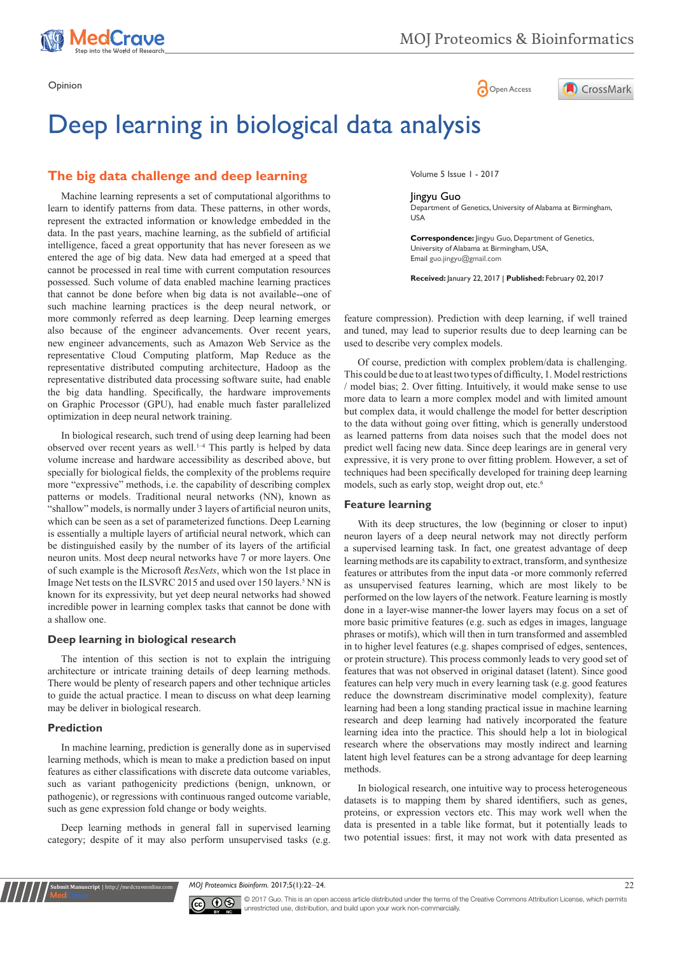

Opinion **Community Community Community Community** Community Community Community Community Community Community Community Community Community Community Community Community Community Community Community Community Community Co



# Deep learning in biological data analysis

## **The big data challenge and deep learning**

more commonly referred as deep learning. Deep learning emerges also because of the engineer advancements. Over recent years, new engineer advancements, such as Amazon Web Service as the representative Cloud Computing platform, Map Reduce as the representative distributed computing architecture, Hadoop as the representative distributed data processing software suite, had enable the big data handling. Specifically, the hardware improvements on Graphic Processor (GPU), had enable much faster parallelized optimization in deep neural network training. Machine learning represents a set of computational algorithms to learn to identify patterns from data. These patterns, in other words, represent the extracted information or knowledge embedded in the data. In the past years, machine learning, as the subfield of artificial intelligence, faced a great opportunity that has never foreseen as we entered the age of big data. New data had emerged at a speed that cannot be processed in real time with current computation resources possessed. Such volume of data enabled machine learning practices that cannot be done before when big data is not available--one of such machine learning practices is the deep neural network, or

In biological research, such trend of using deep learning had been observed over recent years as well.1–4 This partly is helped by data volume increase and hardware accessibility as described above, but specially for biological fields, the complexity of the problems require more "expressive" methods, i.e. the capability of describing complex patterns or models. Traditional neural networks (NN), known as "shallow" models, is normally under 3 layers of artificial neuron units, which can be seen as a set of parameterized functions. Deep Learning is essentially a multiple layers of artificial neural network, which can be distinguished easily by the number of its layers of the artificial neuron units. Most deep neural networks have 7 or more layers. One of such example is the Microsoft *ResNets*, which won the 1st place in Image Net tests on the ILSVRC 2015 and used over 150 layers.<sup>5</sup> NN is known for its expressivity, but yet deep neural networks had showed incredible power in learning complex tasks that cannot be done with a shallow one.

#### **Deep learning in biological research**

The intention of this section is not to explain the intriguing architecture or intricate training details of deep learning methods. There would be plenty of research papers and other technique articles to guide the actual practice. I mean to discuss on what deep learning may be deliver in biological research.

#### **Prediction**

**Submit Manuscript** | http://medcraveonline.c

In machine learning, prediction is generally done as in supervised learning methods, which is mean to make a prediction based on input features as either classifications with discrete data outcome variables, such as variant pathogenicity predictions (benign, unknown, or pathogenic), or regressions with continuous ranged outcome variable, such as gene expression fold change or body weights.

Deep learning methods in general fall in supervised learning category; despite of it may also perform unsupervised tasks (e.g.

Volume 5 Issue 1 - 2017

#### Jingyu Guo

Department of Genetics, University of Alabama at Birmingham, USA

**Correspondence:** Jingyu Guo, Department of Genetics, University of Alabama at Birmingham, USA, Email guo.jingyu@gmail.com

**Received:** January 22, 2017 | **Published:** February 02, 2017

feature compression). Prediction with deep learning, if well trained and tuned, may lead to superior results due to deep learning can be used to describe very complex models.

Of course, prediction with complex problem/data is challenging. This could be due to at least two types of difficulty, 1. Model restrictions / model bias; 2. Over fitting. Intuitively, it would make sense to use more data to learn a more complex model and with limited amount but complex data, it would challenge the model for better description to the data without going over fitting, which is generally understood as learned patterns from data noises such that the model does not predict well facing new data. Since deep learings are in general very expressive, it is very prone to over fitting problem. However, a set of techniques had been specifically developed for training deep learning models, such as early stop, weight drop out, etc.<sup>6</sup>

#### **Feature learning**

With its deep structures, the low (beginning or closer to input) neuron layers of a deep neural network may not directly perform a supervised learning task. In fact, one greatest advantage of deep learning methods are its capability to extract, transform, and synthesize features or attributes from the input data -or more commonly referred as unsupervised features learning, which are most likely to be performed on the low layers of the network. Feature learning is mostly done in a layer-wise manner-the lower layers may focus on a set of more basic primitive features (e.g. such as edges in images, language phrases or motifs), which will then in turn transformed and assembled in to higher level features (e.g. shapes comprised of edges, sentences, or protein structure). This process commonly leads to very good set of features that was not observed in original dataset (latent). Since good features can help very much in every learning task (e.g. good features reduce the downstream discriminative model complexity), feature learning had been a long standing practical issue in machine learning research and deep learning had natively incorporated the feature learning idea into the practice. This should help a lot in biological research where the observations may mostly indirect and learning latent high level features can be a strong advantage for deep learning methods.

In biological research, one intuitive way to process heterogeneous datasets is to mapping them by shared identifiers, such as genes, proteins, or expression vectors etc. This may work well when the data is presented in a table like format, but it potentially leads to two potential issues: first, it may not work with data presented as

*MOJ Proteomics Bioinform.* 2017;5(1):22‒24. 22



© 2017 Guo. This is an open access article distributed under the terms of the [Creative Commons Attribution License](https://creativecommons.org/licenses/by-nc/4.0/), which permits unrestricted use, distribution, and build upon your work non-commercially.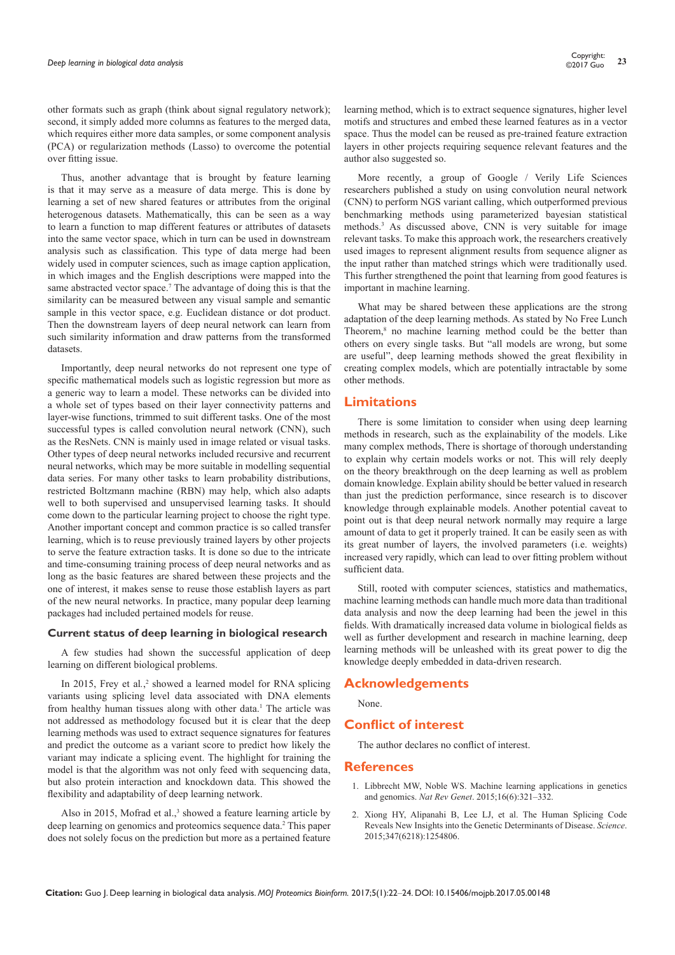other formats such as graph (think about signal regulatory network); second, it simply added more columns as features to the merged data, which requires either more data samples, or some component analysis (PCA) or regularization methods (Lasso) to overcome the potential over fitting issue.

Thus, another advantage that is brought by feature learning is that it may serve as a measure of data merge. This is done by learning a set of new shared features or attributes from the original heterogenous datasets. Mathematically, this can be seen as a way to learn a function to map different features or attributes of datasets into the same vector space, which in turn can be used in downstream analysis such as classification. This type of data merge had been widely used in computer sciences, such as image caption application, in which images and the English descriptions were mapped into the same abstracted vector space.<sup>7</sup> The advantage of doing this is that the similarity can be measured between any visual sample and semantic sample in this vector space, e.g. Euclidean distance or dot product. Then the downstream layers of deep neural network can learn from such similarity information and draw patterns from the transformed datasets.

Importantly, deep neural networks do not represent one type of specific mathematical models such as logistic regression but more as a generic way to learn a model. These networks can be divided into a whole set of types based on their layer connectivity patterns and layer-wise functions, trimmed to suit different tasks. One of the most successful types is called convolution neural network (CNN), such as the ResNets. CNN is mainly used in image related or visual tasks. Other types of deep neural networks included recursive and recurrent neural networks, which may be more suitable in modelling sequential data series. For many other tasks to learn probability distributions, restricted Boltzmann machine (RBN) may help, which also adapts well to both supervised and unsupervised learning tasks. It should come down to the particular learning project to choose the right type. Another important concept and common practice is so called transfer learning, which is to reuse previously trained layers by other projects to serve the feature extraction tasks. It is done so due to the intricate and time-consuming training process of deep neural networks and as long as the basic features are shared between these projects and the one of interest, it makes sense to reuse those establish layers as part of the new neural networks. In practice, many popular deep learning packages had included pertained models for reuse.

#### **Current status of deep learning in biological research**

A few studies had shown the successful application of deep learning on different biological problems.

In 2015, Frey et al.,<sup>2</sup> showed a learned model for RNA splicing variants using splicing level data associated with DNA elements from healthy human tissues along with other data.<sup>1</sup> The article was not addressed as methodology focused but it is clear that the deep learning methods was used to extract sequence signatures for features and predict the outcome as a variant score to predict how likely the variant may indicate a splicing event. The highlight for training the model is that the algorithm was not only feed with sequencing data, but also protein interaction and knockdown data. This showed the flexibility and adaptability of deep learning network.

Also in 2015, Mofrad et al., $3$  showed a feature learning article by deep learning on genomics and proteomics sequence data.<sup>2</sup> This paper does not solely focus on the prediction but more as a pertained feature learning method, which is to extract sequence signatures, higher level motifs and structures and embed these learned features as in a vector space. Thus the model can be reused as pre-trained feature extraction layers in other projects requiring sequence relevant features and the author also suggested so.

More recently, a group of Google / Verily Life Sciences researchers published a study on using convolution neural network (CNN) to perform NGS variant calling, which outperformed previous benchmarking methods using parameterized bayesian statistical methods.<sup>3</sup> As discussed above, CNN is very suitable for image relevant tasks. To make this approach work, the researchers creatively used images to represent alignment results from sequence aligner as the input rather than matched strings which were traditionally used. This further strengthened the point that learning from good features is important in machine learning.

What may be shared between these applications are the strong adaptation of the deep learning methods. As stated by No Free Lunch Theorem,<sup>8</sup> no machine learning method could be the better than others on every single tasks. But "all models are wrong, but some are useful", deep learning methods showed the great flexibility in creating complex models, which are potentially intractable by some other methods.

### **Limitations**

There is some limitation to consider when using deep learning methods in research, such as the explainability of the models. Like many complex methods, There is shortage of thorough understanding to explain why certain models works or not. This will rely deeply on the theory breakthrough on the deep learning as well as problem domain knowledge. Explain ability should be better valued in research than just the prediction performance, since research is to discover knowledge through explainable models. Another potential caveat to point out is that deep neural network normally may require a large amount of data to get it properly trained. It can be easily seen as with its great number of layers, the involved parameters (i.e. weights) increased very rapidly, which can lead to over fitting problem without sufficient data.

Still, rooted with computer sciences, statistics and mathematics, machine learning methods can handle much more data than traditional data analysis and now the deep learning had been the jewel in this fields. With dramatically increased data volume in biological fields as well as further development and research in machine learning, deep learning methods will be unleashed with its great power to dig the knowledge deeply embedded in data-driven research.

#### **Acknowledgements**

None.

## **Conflict of interest**

The author declares no conflict of interest.

#### **References**

- 1. [Libbrecht MW, Noble WS. Machine learning applications in genetics](https://www.ncbi.nlm.nih.gov/pubmed/25948244)  and genomics. *Nat Rev Genet*[. 2015;16\(6\):321–332.](https://www.ncbi.nlm.nih.gov/pubmed/25948244)
- 2. [Xiong HY, Alipanahi B, Lee LJ, et al. The Human Splicing Code](https://www.ncbi.nlm.nih.gov/pubmed/25525159/)  [Reveals New Insights into the Genetic Determinants of Disease.](https://www.ncbi.nlm.nih.gov/pubmed/25525159/) *Science*. [2015;347\(6218\):1254806.](https://www.ncbi.nlm.nih.gov/pubmed/25525159/)